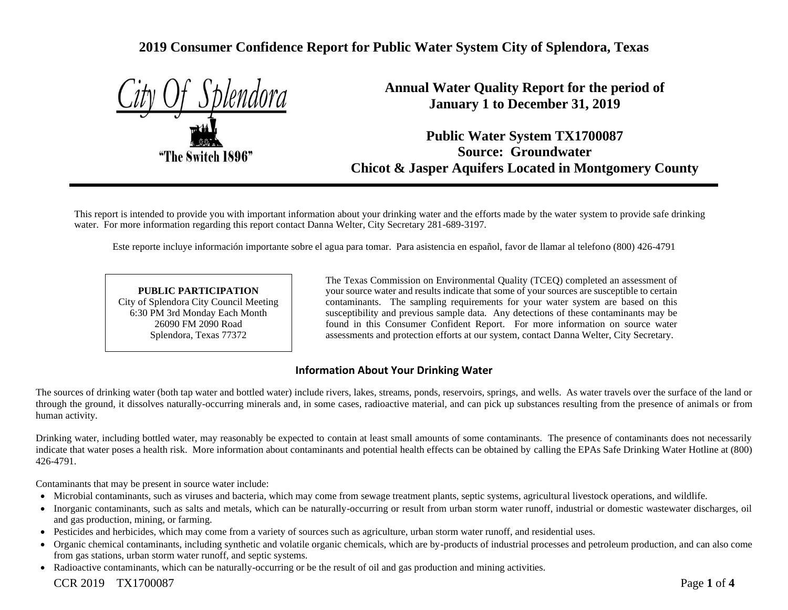# **2019 Consumer Confidence Report for Public Water System City of Splendora, Texas**

|  |                 | if Splend <u>ora</u> |
|--|-----------------|----------------------|
|  |                 |                      |
|  |                 |                      |
|  |                 |                      |
|  | he Switch 1896" |                      |
|  |                 |                      |

**Annual Water Quality Report for the period of January 1 to December 31, 2019**

**Public Water System TX1700087 Source: Groundwater Chicot & Jasper Aquifers Located in Montgomery County**

This report is intended to provide you with important information about your drinking water and the efforts made by the water system to provide safe drinking water. For more information regarding this report contact Danna Welter, City Secretary 281-689-3197.

Este reporte incluye información importante sobre el agua para tomar. Para asistencia en español, favor de llamar al telefono (800) 426-4791

#### **PUBLIC PARTICIPATION** City of Splendora City Council Meeting 6:30 PM 3rd Monday Each Month 26090 FM 2090 Road Splendora, Texas 77372

The Texas Commission on Environmental Quality (TCEQ) completed an assessment of your source water and results indicate that some of your sources are susceptible to certain contaminants. The sampling requirements for your water system are based on this susceptibility and previous sample data. Any detections of these contaminants may be found in this Consumer Confident Report. For more information on source water assessments and protection efforts at our system, contact Danna Welter, City Secretary.

### **Information About Your Drinking Water**

The sources of drinking water (both tap water and bottled water) include rivers, lakes, streams, ponds, reservoirs, springs, and wells. As water travels over the surface of the land or through the ground, it dissolves naturally-occurring minerals and, in some cases, radioactive material, and can pick up substances resulting from the presence of animals or from human activity.

Drinking water, including bottled water, may reasonably be expected to contain at least small amounts of some contaminants. The presence of contaminants does not necessarily indicate that water poses a health risk. More information about contaminants and potential health effects can be obtained by calling the EPAs Safe Drinking Water Hotline at (800) 426-4791.

Contaminants that may be present in source water include:

- Microbial contaminants, such as viruses and bacteria, which may come from sewage treatment plants, septic systems, agricultural livestock operations, and wildlife.
- Inorganic contaminants, such as salts and metals, which can be naturally-occurring or result from urban storm water runoff, industrial or domestic wastewater discharges, oil and gas production, mining, or farming.
- Pesticides and herbicides, which may come from a variety of sources such as agriculture, urban storm water runoff, and residential uses.
- Organic chemical contaminants, including synthetic and volatile organic chemicals, which are by-products of industrial processes and petroleum production, and can also come from gas stations, urban storm water runoff, and septic systems.
- Radioactive contaminants, which can be naturally-occurring or be the result of oil and gas production and mining activities.

### CCR 2019 TX1700087 Page **1** of **4**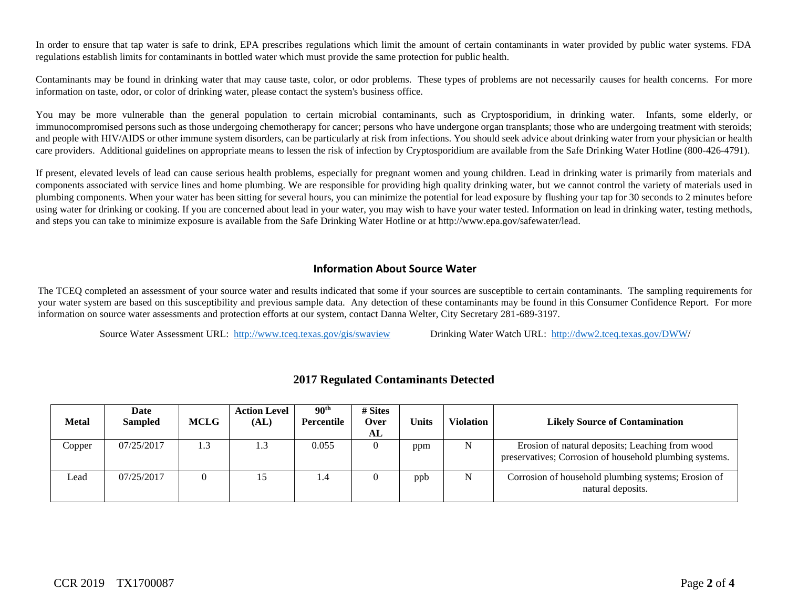In order to ensure that tap water is safe to drink, EPA prescribes regulations which limit the amount of certain contaminants in water provided by public water systems. FDA regulations establish limits for contaminants in bottled water which must provide the same protection for public health.

Contaminants may be found in drinking water that may cause taste, color, or odor problems. These types of problems are not necessarily causes for health concerns. For more information on taste, odor, or color of drinking water, please contact the system's business office.

You may be more vulnerable than the general population to certain microbial contaminants, such as Cryptosporidium, in drinking water. Infants, some elderly, or immunocompromised persons such as those undergoing chemotherapy for cancer; persons who have undergone organ transplants; those who are undergoing treatment with steroids; and people with HIV/AIDS or other immune system disorders, can be particularly at risk from infections. You should seek advice about drinking water from your physician or health care providers. Additional guidelines on appropriate means to lessen the risk of infection by Cryptosporidium are available from the Safe Drinking Water Hotline (800-426-4791).

If present, elevated levels of lead can cause serious health problems, especially for pregnant women and young children. Lead in drinking water is primarily from materials and components associated with service lines and home plumbing. We are responsible for providing high quality drinking water, but we cannot control the variety of materials used in plumbing components. When your water has been sitting for several hours, you can minimize the potential for lead exposure by flushing your tap for 30 seconds to 2 minutes before using water for drinking or cooking. If you are concerned about lead in your water, you may wish to have your water tested. Information on lead in drinking water, testing methods, and steps you can take to minimize exposure is available from the Safe Drinking Water Hotline or at http://www.epa.gov/safewater/lead.

### **Information About Source Water**

The TCEQ completed an assessment of your source water and results indicated that some if your sources are susceptible to certain contaminants. The sampling requirements for your water system are based on this susceptibility and previous sample data. Any detection of these contaminants may be found in this Consumer Confidence Report. For more information on source water assessments and protection efforts at our system, contact Danna Welter, City Secretary 281-689-3197.

Source Water Assessment URL: <http://www.tceq.texas.gov/gis/swaview>Drinking Water Watch URL: [http://dww2.tceq.texas.gov/DWW/](http://dww2.tceq.texas.gov/DWW)

| <b>Metal</b> | Date<br><b>Sampled</b> | <b>MCLG</b> | <b>Action Level</b><br>(AL) | 90 <sup>th</sup><br>Percentile | # Sites<br>Over<br>AL | Units | <b>Violation</b> | <b>Likely Source of Contamination</b>                                                                      |
|--------------|------------------------|-------------|-----------------------------|--------------------------------|-----------------------|-------|------------------|------------------------------------------------------------------------------------------------------------|
| Copper       | 07/25/2017             | 1.3         | 1.3                         | 0.055                          |                       | ppm   | N                | Erosion of natural deposits; Leaching from wood<br>preservatives; Corrosion of household plumbing systems. |
| Lead         | 07/25/2017             |             | 15                          | 1.4                            |                       | ppb   | N                | Corrosion of household plumbing systems; Erosion of<br>natural deposits.                                   |

### **2017 Regulated Contaminants Detected**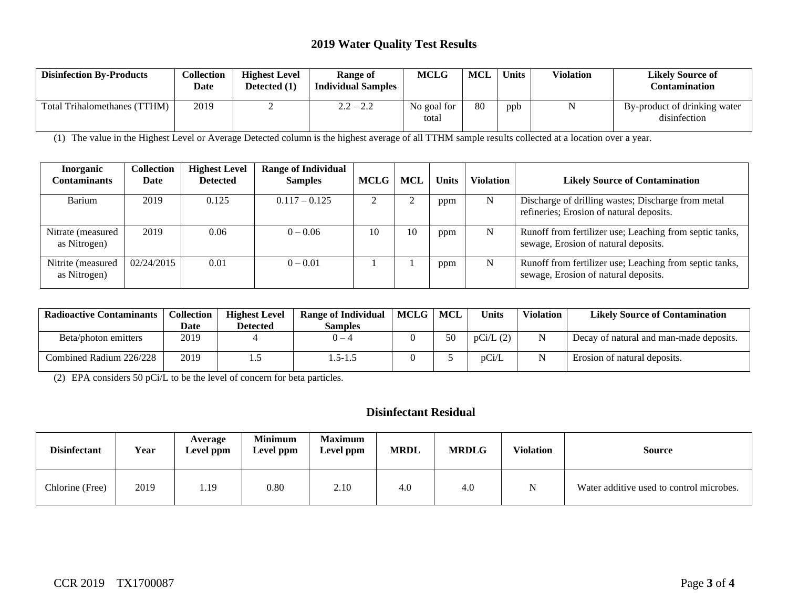### **2019 Water Quality Test Results**

| <b>Disinfection By-Products</b>  | Collection<br>Date | <b>Highest Level</b><br>Detected (1) | <b>Range of</b><br><b>Individual Samples</b> | <b>MCLG</b>          | <b>MCL</b> | <b>Units</b> | <b>Violation</b> | <b>Likely Source of</b><br>Contamination     |
|----------------------------------|--------------------|--------------------------------------|----------------------------------------------|----------------------|------------|--------------|------------------|----------------------------------------------|
| TTHM)<br>Total Trihalomethanes ( | 2019               |                                      | $2.2 - 2.2$                                  | No goal for<br>total | 80         | ppb          |                  | By-product of drinking water<br>disinfection |

(1) The value in the Highest Level or Average Detected column is the highest average of all TTHM sample results collected at a location over a year.

| <b>Inorganic</b><br>Contaminants   | <b>Collection</b><br>Date | <b>Highest Level</b><br><b>Detected</b> | <b>Range of Individual</b><br><b>Samples</b> | <b>MCLG</b> | <b>MCL</b> | <b>Units</b> | <b>Violation</b> | <b>Likely Source of Contamination</b>                                                           |
|------------------------------------|---------------------------|-----------------------------------------|----------------------------------------------|-------------|------------|--------------|------------------|-------------------------------------------------------------------------------------------------|
| Barium                             | 2019                      | 0.125                                   | $0.117 - 0.125$                              |             |            | ppm          | N                | Discharge of drilling wastes; Discharge from metal<br>refineries; Erosion of natural deposits.  |
| Nitrate (measured)<br>as Nitrogen) | 2019                      | 0.06                                    | $0 - 0.06$                                   | 10          | 10         | ppm          | N                | Runoff from fertilizer use; Leaching from septic tanks,<br>sewage, Erosion of natural deposits. |
| Nitrite (measured<br>as Nitrogen)  | 02/24/2015                | 0.01                                    | $0 - 0.01$                                   |             |            | ppm          | N                | Runoff from fertilizer use; Leaching from septic tanks,<br>sewage, Erosion of natural deposits. |

| <b>Radioactive Contaminants</b> | Collection | <b>Highest Level</b> | <b>Range of Individual</b> | MCLG   MCL |    | Units    | <b>Violation</b> | <b>Likely Source of Contamination</b>   |
|---------------------------------|------------|----------------------|----------------------------|------------|----|----------|------------------|-----------------------------------------|
|                                 | Date       | <b>Detected</b>      | Samples                    |            |    |          |                  |                                         |
| Beta/photon emitters            | 2019       |                      | $0 - 4$                    |            | 50 | pCi/L(2) |                  | Decay of natural and man-made deposits. |
| Combined Radium 226/228         | 2019       |                      | $.5 - 1.5$                 |            |    | pCi/L    |                  | Erosion of natural deposits.            |

(2) EPA considers 50 pCi/L to be the level of concern for beta particles.

## **Disinfectant Residual**

| <b>Disinfectant</b> | Year | Average<br>Level ppm | <b>Minimum</b><br>Level ppm | <b>Maximum</b><br>Level ppm | <b>MRDL</b> | <b>MRDLG</b> | <b>Violation</b> | <b>Source</b>                            |
|---------------------|------|----------------------|-----------------------------|-----------------------------|-------------|--------------|------------------|------------------------------------------|
| Chlorine (Free)     | 2019 | 1.19                 | 0.80                        | 2.10                        | 4.0         | 4.0          | N                | Water additive used to control microbes. |